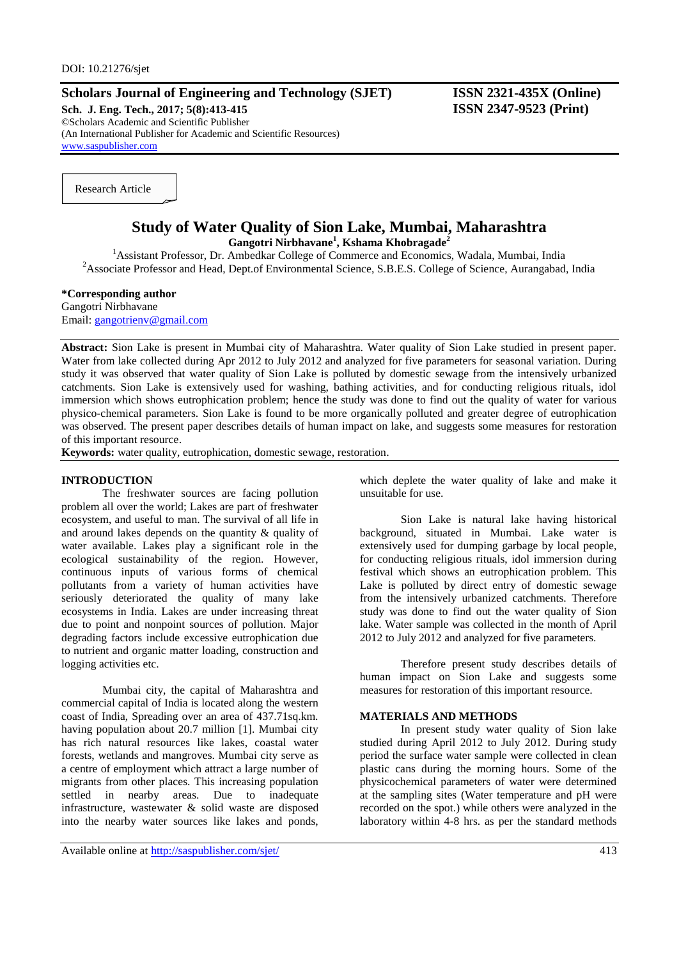### **Scholars Journal of Engineering and Technology (SJET) ISSN 2321-435X (Online)**

**Sch. J. Eng. Tech., 2017; 5(8):413-415 ISSN 2347-9523 (Print)** ©Scholars Academic and Scientific Publisher (An International Publisher for Academic and Scientific Resources) [www.saspublisher.com](http://www.saspublisher.com/)

Research Article

# **Study of Water Quality of Sion Lake, Mumbai, Maharashtra**

**Gangotri Nirbhavane<sup>1</sup> , Kshama Khobragade<sup>2</sup>**

<sup>1</sup>Assistant Professor, Dr. Ambedkar College of Commerce and Economics, Wadala, Mumbai, India <sup>2</sup>Associate Professor and Head, Dept.of Environmental Science, S.B.E.S. College of Science, Aurangabad, India

### **\*Corresponding author**

Gangotri Nirbhavane Email: [gangotrienv@gmail.com](mailto:gangotrienv@gmail.com)

**Abstract:** Sion Lake is present in Mumbai city of Maharashtra. Water quality of Sion Lake studied in present paper. Water from lake collected during Apr 2012 to July 2012 and analyzed for five parameters for seasonal variation. During study it was observed that water quality of Sion Lake is polluted by domestic sewage from the intensively urbanized catchments. Sion Lake is extensively used for washing, bathing activities, and for conducting religious rituals, idol immersion which shows eutrophication problem; hence the study was done to find out the quality of water for various physico-chemical parameters. Sion Lake is found to be more organically polluted and greater degree of eutrophication was observed. The present paper describes details of human impact on lake, and suggests some measures for restoration of this important resource.

**Keywords:** water quality, eutrophication, domestic sewage, restoration.

#### **INTRODUCTION**

The freshwater sources are facing pollution problem all over the world; Lakes are part of freshwater ecosystem, and useful to man. The survival of all life in and around lakes depends on the quantity & quality of water available. Lakes play a significant role in the ecological sustainability of the region. However, continuous inputs of various forms of chemical pollutants from a variety of human activities have seriously deteriorated the quality of many lake ecosystems in India. Lakes are under increasing threat due to point and nonpoint sources of pollution. Major degrading factors include excessive eutrophication due to nutrient and organic matter loading, construction and logging activities etc.

Mumbai city, the capital of Maharashtra and commercial capital of India is located along the western coast of India, Spreading over an area of 437.71sq.km. having population about 20.7 million [1]. Mumbai city has rich natural resources like lakes, coastal water forests, wetlands and mangroves. Mumbai city serve as a centre of employment which attract a large number of migrants from other places. This increasing population settled in nearby areas. Due to inadequate infrastructure, wastewater & solid waste are disposed into the nearby water sources like lakes and ponds,

which deplete the water quality of lake and make it unsuitable for use.

Sion Lake is natural lake having historical background, situated in Mumbai. Lake water is extensively used for dumping garbage by local people, for conducting religious rituals, idol immersion during festival which shows an eutrophication problem. This Lake is polluted by direct entry of domestic sewage from the intensively urbanized catchments. Therefore study was done to find out the water quality of Sion lake. Water sample was collected in the month of April 2012 to July 2012 and analyzed for five parameters.

Therefore present study describes details of human impact on Sion Lake and suggests some measures for restoration of this important resource.

#### **MATERIALS AND METHODS**

In present study water quality of Sion lake studied during April 2012 to July 2012. During study period the surface water sample were collected in clean plastic cans during the morning hours. Some of the physicochemical parameters of water were determined at the sampling sites (Water temperature and pH were recorded on the spot.) while others were analyzed in the laboratory within 4-8 hrs. as per the standard methods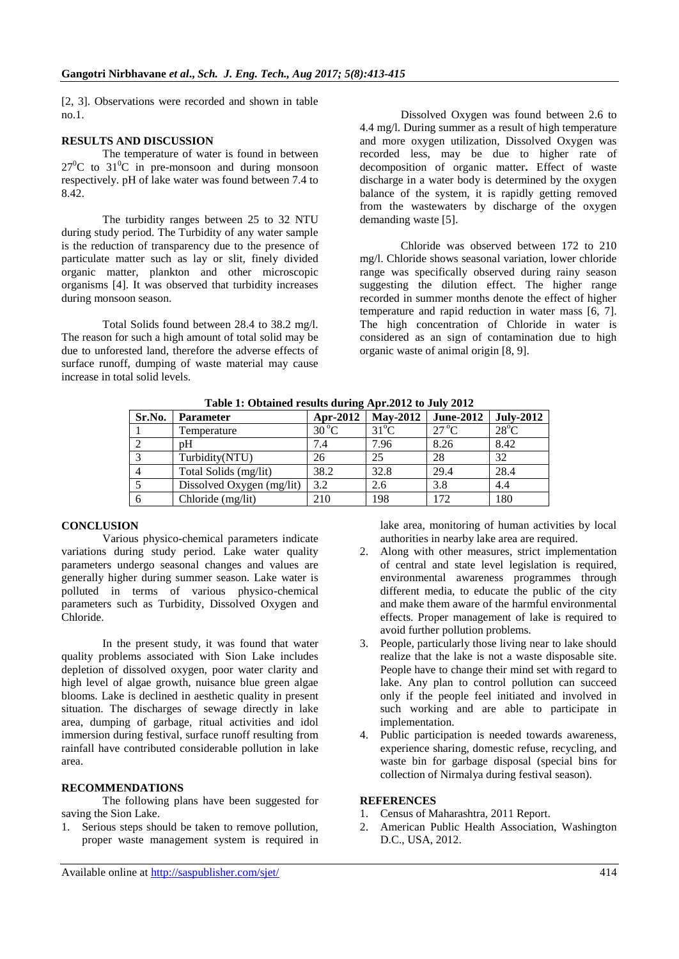[2, 3]. Observations were recorded and shown in table no.1.

### **RESULTS AND DISCUSSION**

The temperature of water is found in between  $27^0C$  to  $31^0C$  in pre-monsoon and during monsoon respectively. pH of lake water was found between 7.4 to 8.42.

The turbidity ranges between 25 to 32 NTU during study period. The Turbidity of any water sample is the reduction of transparency due to the presence of particulate matter such as lay or slit, finely divided organic matter, plankton and other microscopic organisms [4]. It was observed that turbidity increases during monsoon season.

Total Solids found between 28.4 to 38.2 mg/l. The reason for such a high amount of total solid may be due to unforested land, therefore the adverse effects of surface runoff, dumping of waste material may cause increase in total solid levels.

Dissolved Oxygen was found between 2.6 to 4.4 mg/l. During summer as a result of high temperature and more oxygen utilization, Dissolved Oxygen was recorded less, may be due to higher rate of decomposition of organic matter**.** Effect of waste discharge in a water body is determined by the oxygen balance of the system, it is rapidly getting removed from the wastewaters by discharge of the oxygen demanding waste [5].

Chloride was observed between 172 to 210 mg/l. Chloride shows seasonal variation, lower chloride range was specifically observed during rainy season suggesting the dilution effect. The higher range recorded in summer months denote the effect of higher temperature and rapid reduction in water mass [6, 7]. The high concentration of Chloride in water is considered as an sign of contamination due to high organic waste of animal origin [8, 9].

| Sr.No. | <b>Parameter</b>          | <b>Apr-2012</b> | <b>May-2012</b> | <b>June-2012</b> | <b>July-2012</b> |
|--------|---------------------------|-----------------|-----------------|------------------|------------------|
|        | Temperature               | $30^{\circ}$ C  | $31^{\circ}$ C  | $27^{\circ}$ C   | $28^{\circ}$ C   |
|        | pΗ                        | 7.4             | 7.96            | 8.26             | 8.42             |
|        | Turbidity(NTU)            | 26              | 25              | 28               | 32               |
|        | Total Solids (mg/lit)     | 38.2            | 32.8            | 29.4             | 28.4             |
|        | Dissolved Oxygen (mg/lit) | 3.2             | 2.6             | 3.8              | 4.4              |
| -6     | Chloride (mg/lit)         | 210             | 198             | 172              | 180              |

**Table 1: Obtained results during Apr.2012 to July 2012**

### **CONCLUSION**

Various physico-chemical parameters indicate variations during study period. Lake water quality parameters undergo seasonal changes and values are generally higher during summer season. Lake water is polluted in terms of various physico-chemical parameters such as Turbidity, Dissolved Oxygen and Chloride.

In the present study, it was found that water quality problems associated with Sion Lake includes depletion of dissolved oxygen, poor water clarity and high level of algae growth, nuisance blue green algae blooms. Lake is declined in aesthetic quality in present situation. The discharges of sewage directly in lake area, dumping of garbage, ritual activities and idol immersion during festival, surface runoff resulting from rainfall have contributed considerable pollution in lake area.

### **RECOMMENDATIONS**

The following plans have been suggested for saving the Sion Lake.

1. Serious steps should be taken to remove pollution, proper waste management system is required in lake area, monitoring of human activities by local authorities in nearby lake area are required.

- 2. Along with other measures, strict implementation of central and state level legislation is required, environmental awareness programmes through different media, to educate the public of the city and make them aware of the harmful environmental effects. Proper management of lake is required to avoid further pollution problems.
- 3. People, particularly those living near to lake should realize that the lake is not a waste disposable site. People have to change their mind set with regard to lake. Any plan to control pollution can succeed only if the people feel initiated and involved in such working and are able to participate in implementation.
- 4. Public participation is needed towards awareness, experience sharing, domestic refuse, recycling, and waste bin for garbage disposal (special bins for collection of Nirmalya during festival season).

## **REFERENCES**

- 1. Census of Maharashtra, 2011 Report.
- 2. American Public Health Association, Washington D.C., USA, 2012.